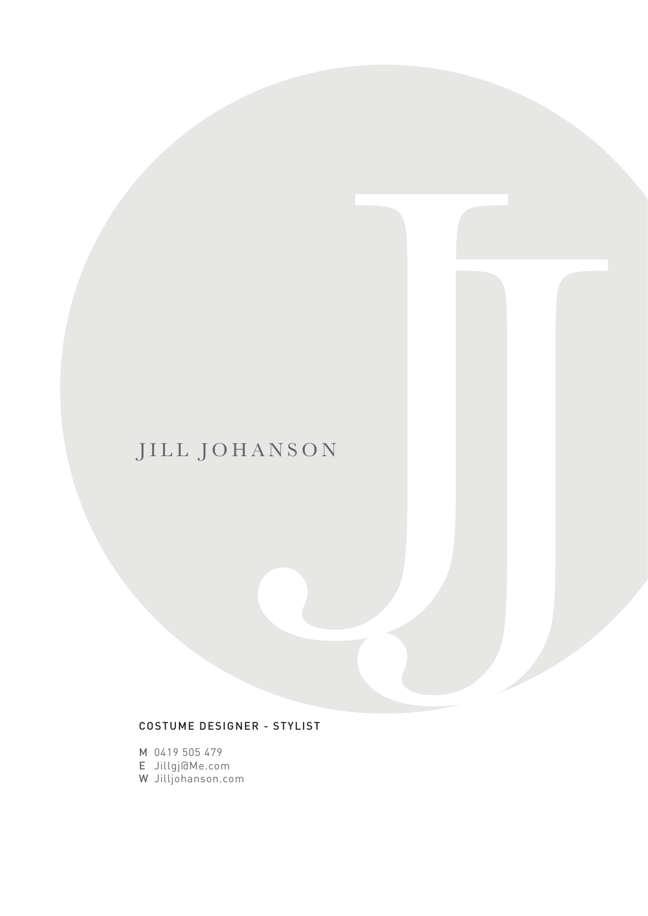# JILL JOHANSON

### COSTUME DESIGNER - STYLIST

M 0419 505 479

E Jillgj@Me.com

W Jilljohanson.com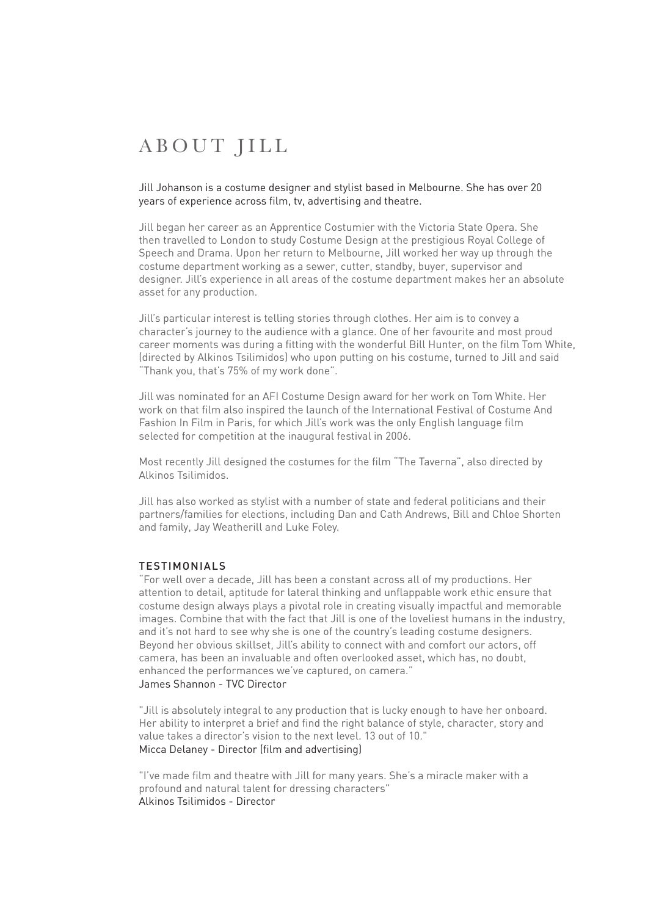# ABOUT JILL

#### Jill Johanson is a costume designer and stylist based in Melbourne. She has over 20 years of experience across film, tv, advertising and theatre.

Jill began her career as an Apprentice Costumier with the Victoria State Opera. She then travelled to London to study Costume Design at the prestigious Royal College of Speech and Drama. Upon her return to Melbourne, Jill worked her way up through the costume department working as a sewer, cutter, standby, buyer, supervisor and designer. Jill's experience in all areas of the costume department makes her an absolute asset for any production.

Jill's particular interest is telling stories through clothes. Her aim is to convey a character's journey to the audience with a glance. One of her favourite and most proud career moments was during a fitting with the wonderful Bill Hunter, on the film Tom White, (directed by Alkinos Tsilimidos) who upon putting on his costume, turned to Jill and said "Thank you, that's 75% of my work done".

Jill was nominated for an AFI Costume Design award for her work on Tom White. Her work on that film also inspired the launch of the International Festival of Costume And Fashion In Film in Paris, for which Jill's work was the only English language film selected for competition at the inaugural festival in 2006.

Most recently Jill designed the costumes for the film "The Taverna", also directed by Alkinos Tsilimidos.

Jill has also worked as stylist with a number of state and federal politicians and their partners/families for elections, including Dan and Cath Andrews, Bill and Chloe Shorten and family, Jay Weatherill and Luke Foley.

#### TESTIMONIALS

"For well over a decade, Jill has been a constant across all of my productions. Her attention to detail, aptitude for lateral thinking and unflappable work ethic ensure that costume design always plays a pivotal role in creating visually impactful and memorable images. Combine that with the fact that Jill is one of the loveliest humans in the industry, and it's not hard to see why she is one of the country's leading costume designers. Beyond her obvious skillset, Jill's ability to connect with and comfort our actors, off camera, has been an invaluable and often overlooked asset, which has, no doubt, enhanced the performances we've captured, on camera." James Shannon - TVC Director

"Jill is absolutely integral to any production that is lucky enough to have her onboard. Her ability to interpret a brief and find the right balance of style, character, story and value takes a director's vision to the next level. 13 out of 10." Micca Delaney - Director (film and advertising)

"I've made film and theatre with Jill for many years. She's a miracle maker with a profound and natural talent for dressing characters" Alkinos Tsilimidos - Director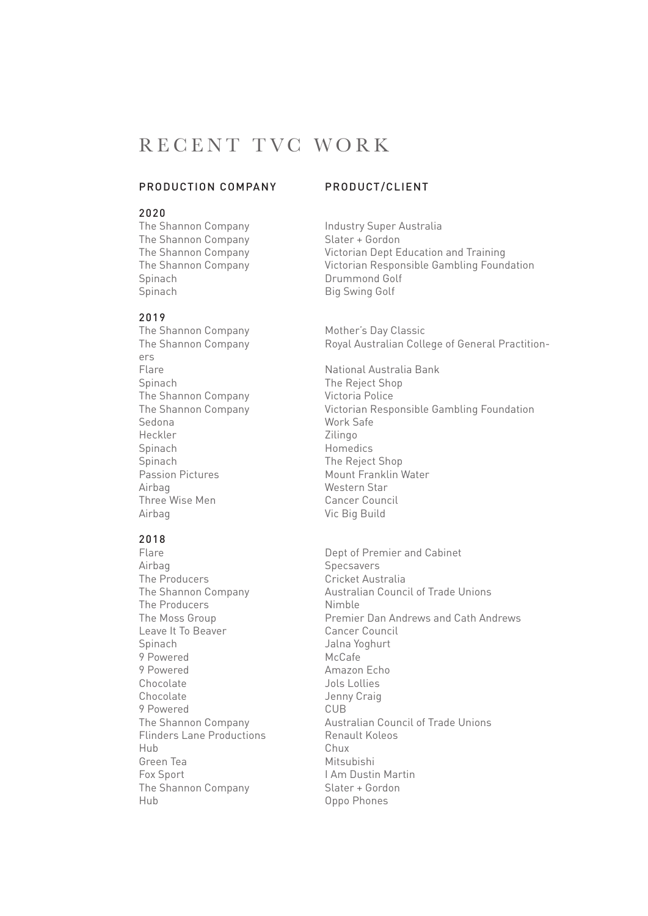## RECENT TVC WORK

#### PRODUCTION COMPANY PRODUCT/CLIENT

### 2020

The Shannon Company Slater + Gordon Spinach Drummond Golf Spinach Big Swing Golf

#### 2019

ers Spinach The Reject Shop The Shannon Company Victoria Police Sedona Work Safe Heckler Zilingo Spinach Homedics Spinach The Reject Shop Passion Pictures Mount Franklin Water Airbag<br>Three Wise Men Three Wise Men Three Wise Men Airbag Vic Big Build

### 2018

Airbag<br>The Producers **Specsavers**<br>Cricket Aus The Producers<br>
The Shannon Company<br>
Cricket Australian Counce The Producers<br>
The Moss Group<br>
The Moss Group Leave It To Beaver Spinach Jalna Yoghurt 9 Powered McCafe 9 Powered Amazon Echo Chocolate Jols Lollies Chocolate Jenny Craig<br>
9 Powered CUB 9 Powered<br>The Shannon Company  $F$ linders Lane Productions Hub Chux Green Tea Mitsubishi Fox Sport<br>
The Shannon Company<br>
Slater + Gordon The Shannon Company Hub Oppo Phones

The Shannon Company **Industry Super Australia** The Shannon Company Victorian Dept Education and Training The Shannon Company Victorian Responsible Gambling Foundation

The Shannon Company Mother's Day Classic The Shannon Company Royal Australian College of General Practition-

Flare **National Australia Bank** The Shannon Company Victorian Responsible Gambling Foundation

Flare **Dept of Premier and Cabinet** Australian Council of Trade Unions Premier Dan Andrews and Cath Andrews<br>Cancer Council Australian Council of Trade Unions<br>Renault Koleos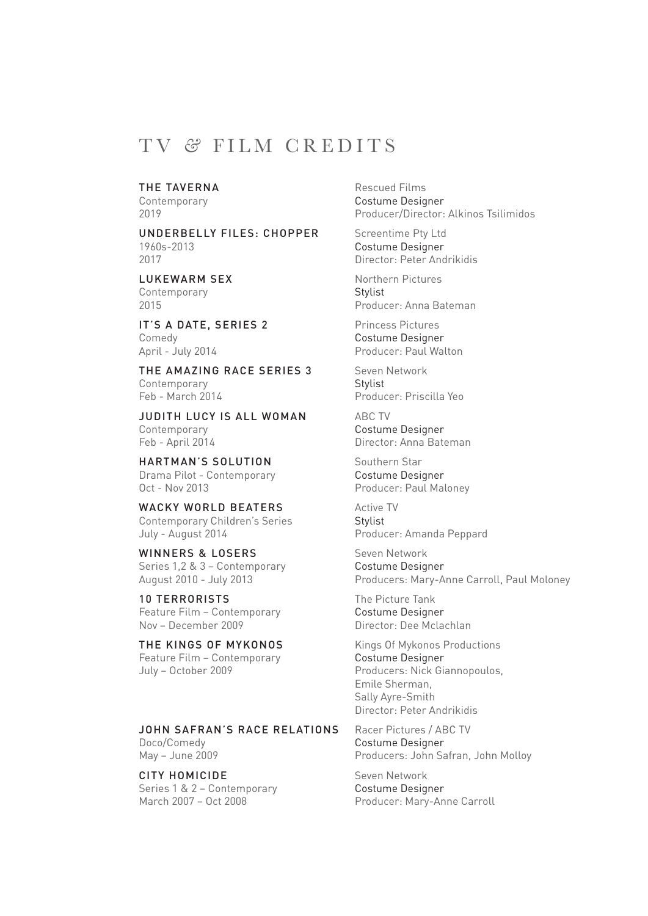### TV *&* FILM CREDITS

#### THE TAVERNA Rescued Films

UNDERBELLY FILES: CHOPPER Screentime Pty Ltd 1960s-2013 Costume Designer 2017 Director: Peter Andrikidis

Contemporary Stylist

IT'S A DATE, SERIES 2 Princess Pictures Comedy Costume Designer April - July 2014 **Producer: Paul Walton** 

THE AMAZING RACE SERIES 3 Seven Network Contemporary Stylist Feb - March 2014 **Producer: Priscilla Yeo** 

JUDITH LUCY IS ALL WOMAN ABC TV Contemporary Costume Designer Feb - April 2014 Director: Anna Bateman

HARTMAN'S SOLUTION Southern Star Drama Pilot - Contemporary Costume Designer Oct - Nov 2013 **Producer: Paul Maloney** 

WACKY WORLD BEATERS Active TV Contemporary Children's Series Stylist July - August 2014 Producer: Amanda Peppard

WINNERS & LOSERS Seven Network Series 1,2 & 3 – Contemporary Costume Designer

10 TERRORISTS The Picture Tank Feature Film – Contemporary Costume Designer Nov – December 2009 Director: Dee Mclachlan

Feature Film – Contemporary Costume Designer

#### JOHN SAFRAN'S RACE RELATIONS Racer Pictures / ABC TV

CITY HOMICIDE Seven Network Series 1 & 2 – Contemporary Costume Designer<br>
March 2007 – Oct 2008 Contemporary Producer: Marv-An

Contemporary Costume Designer 2019 Producer/Director: Alkinos Tsilimidos

LUKEWARM SEX Northern Pictures 2015 Producer: Anna Bateman

August 2010 - July 2013 Producers: Mary-Anne Carroll, Paul Moloney

THE KINGS OF MYKONOS Kings Of Mykonos Productions July – October 2009 Producers: Nick Giannopoulos, Emile Sherman, Sally Ayre-Smith Director: Peter Andrikidis

Doco/Comedy Costume Designer<br>
May - June 2009 Costume Designer<br>
Producers: John Sa Producers: John Safran, John Molloy

Producer: Mary-Anne Carroll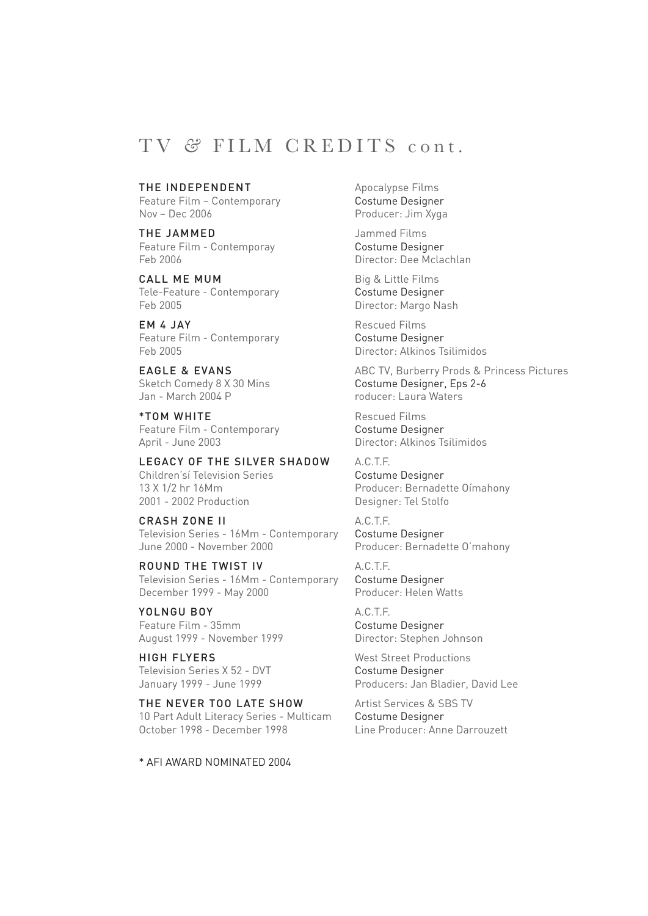### TV *&* FILM CREDITS cont.

#### THE INDEPENDENT Apocalypse Films

Feature Film – Contemporary Costume Designer Nov – Dec 2006 Producer: Jim Xyga

THE JAMMED Jammed Films Feature Film - Contemporay Costume Designer Feb 2006 Director: Dee Mclachlan

CALL ME MUM Big & Little Films Tele-Feature - Contemporary Costume Designer Feb 2005 Director: Margo Nash

EM 4 JAY Rescued Films Feature Film - Contemporary Costume Designer Feb 2005 Director: Alkinos Tsilimidos

Jan - March 2004 P roducer: Laura Waters

\*TOM WHITE Rescued Films Feature Film - Contemporary Costume Designer April - June 2003 Director: Alkinos Tsilimidos

LEGACY OF THE SILVER SHADOW A.C.T.F. Children'sí Television Series Costume Designer 13 X 1/2 hr 16Mm Producer: Bernadette Oímahony 2001 - 2002 Production Designer: Tel Stolfo

CRASH ZONE II A.C.T.F. Television Series - 16Mm - Contemporary Costume Designer June 2000 - November 2000 Producer: Bernadette O'mahony

ROUND THE TWIST IV A.C.T.F.<br>Television Series - 16Mm - Contemporary Costume Designer Television Series - 16Mm - Contemporary December 1999 - May 2000 Producer: Helen Watts

YOLNGU BOY A.C.T.F. Feature Film - 35mm<br>
Costume Designer August 1999 - November 1999 Director: Stephen Johnson

Television Series X 52 - DVT Costume Designer

THE NEVER TOO LATE SHOW Artist Services & SBS TV 10 Part Adult Literacy Series - Multicam Costume Designer October 1998 - December 1998 Line Producer: Anne Darrouzett

\* AFI AWARD NOMINATED 2004

EAGLE & EVANS ABC TV, Burberry Prods & Princess Pictures Sketch Comedy 8 X 30 Mins Costume Designer, Eps 2-6

HIGH FLYERS West Street Productions January 1999 - June 1999 **Producers: Jan Bladier, David Lee**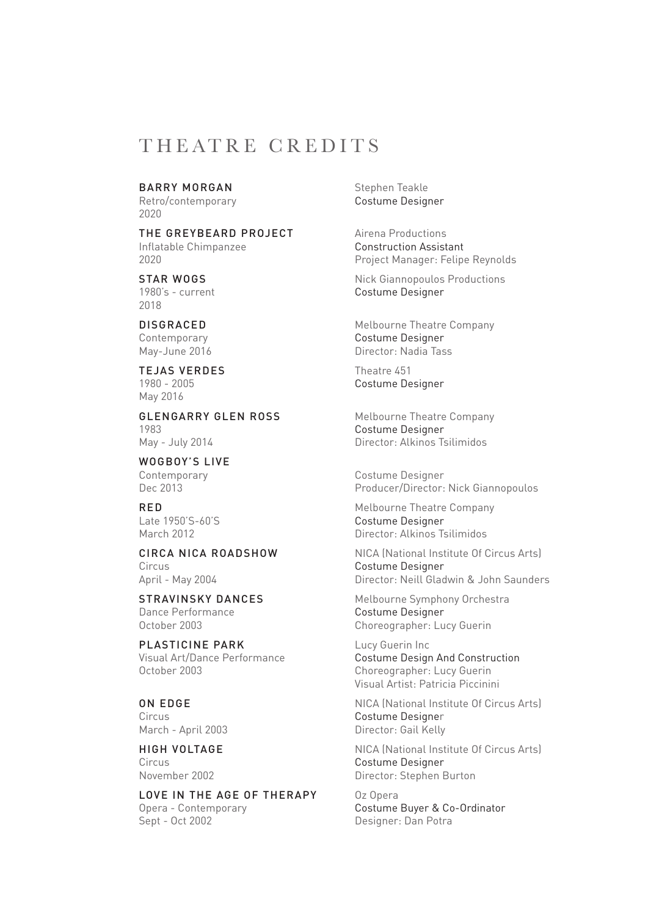### THEATRE CREDITS

#### BARRY MORGAN Stephen Teakle

2020

THE GREYBEARD PROJECT Airena Productions Inflatable Chimpanzee Construction Assistant

2018

TEJAS VERDES Theatre 451 May 2016

**GLENGARRY GLEN ROSS** Melbourne Theatre Company 1983 Costume Designer May - July 2014 **Director: Alkinos Tsilimidos** 

WOGBOY'S LIVE

Circus Costume Designer

Dance Performance Costume Designer October 2003 Choreographer: Lucy Guerin

PLASTICINE PARK Lucy Guerin Inc

LOVE IN THE AGE OF THERAPY Oz Opera Opera - Contemporary Costume Buyer & Co-Ordinator Sept - Oct 2002 Designer: Dan Potra

Retro/contemporary **Costume Designer** 

2020 Project Manager: Felipe Reynolds

STAR WOGS<br>
1980's - current 
2000's - current

2000's - current

2000's - current

2000's - current
2000's - current
2000's - current
2000's - current
2000's - current
2000's - current
2000's - current
2000's - current
200 Costume Designer

**DISGRACED** Melbourne Theatre Company Contemporary Costume Designer May-June 2016 **Director: Nadia Tass** 

1980 - 2005 Costume Designer

Contemporary Costume Designer Dec 2013 Producer/Director: Nick Giannopoulos

RED Melbourne Theatre Company Late 1950'S-60'S Costume Designer March 2012 Director: Alkinos Tsilimidos

CIRCA NICA ROADSHOW NICA (National Institute Of Circus Arts) April - May 2004 Director: Neill Gladwin & John Saunders

STRAVINSKY DANCES Melbourne Symphony Orchestra

Visual Art/Dance Performance<br>
Costume Design And Construction<br>
Choreographer: Lucy Guerin Choreographer: Lucy Guerin Visual Artist: Patricia Piccinini

**ON EDGE** NICA (National Institute Of Circus Arts)<br>Circus Costume Designer Costume Designer March - April 2003 **Director: Gail Kelly** 

**HIGH VOLTAGE** NICA (National Institute Of Circus Arts) Circus Costume Designer Director: Stephen Burton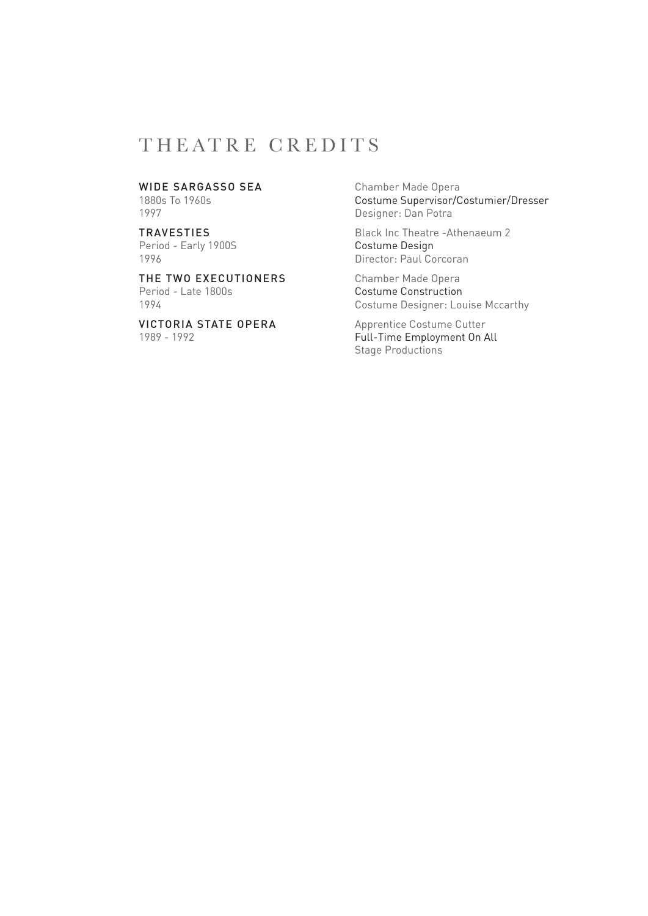## THEATRE CREDITS

Period - Early 1900S<br>1996

THE TWO EXECUTIONERS Chamber Made Opera Period - Late 1800s<br>
1994 **Costume Construction**<br>
Costume Designer: Lou

VICTORIA STATE OPERA Apprentice Costume Cutter

WIDE SARGASSO SEA Chamber Made Opera<br>1880s To 1960s<br>Costume Supervisor/C 1880s To 1960s<br>
1880s To 1960s<br>
1997 **Costume Supervisor/Costumier/Dresser**<br>
Designer: Dan Potra Designer: Dan Potra

TRAVESTIES<br>
Period - Early 1900S<br>
Costume Design Director: Paul Corcoran

Costume Designer: Louise Mccarthy

1989 - 1992 Full-Time Employment On All Stage Productions